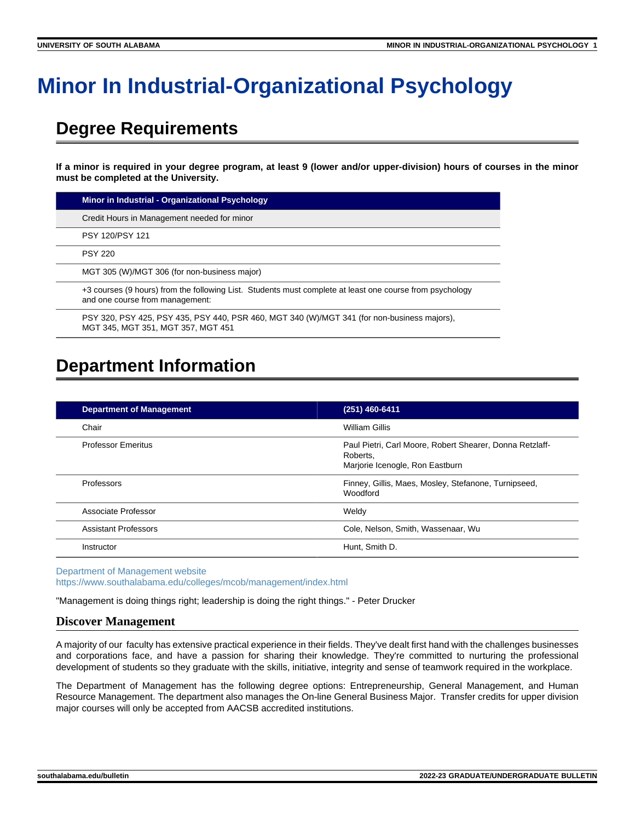# **Minor In Industrial-Organizational Psychology**

## **Degree Requirements**

**If a minor is required in your degree program, at least 9 (lower and/or upper-division) hours of courses in the minor must be completed at the University.**

| Minor in Industrial - Organizational Psychology                                                                                             |
|---------------------------------------------------------------------------------------------------------------------------------------------|
| Credit Hours in Management needed for minor                                                                                                 |
| PSY 120/PSY 121                                                                                                                             |
| <b>PSY 220</b>                                                                                                                              |
| MGT 305 (W)/MGT 306 (for non-business major)                                                                                                |
| +3 courses (9 hours) from the following List. Students must complete at least one course from psychology<br>and one course from management: |
| PSY 320, PSY 425, PSY 435, PSY 440, PSR 460, MGT 340 (W)/MGT 341 (for non-business majors),<br>MGT 345, MGT 351, MGT 357, MGT 451           |
|                                                                                                                                             |

# **Department Information**

| <b>Department of Management</b> | (251) 460-6411                                                                                          |
|---------------------------------|---------------------------------------------------------------------------------------------------------|
| Chair                           | William Gillis                                                                                          |
| <b>Professor Emeritus</b>       | Paul Pietri, Carl Moore, Robert Shearer, Donna Retzlaff-<br>Roberts.<br>Marjorie Icenogle, Ron Eastburn |
| Professors                      | Finney, Gillis, Maes, Mosley, Stefanone, Turnipseed,<br>Woodford                                        |
| Associate Professor             | Weldy                                                                                                   |
| <b>Assistant Professors</b>     | Cole, Nelson, Smith, Wassenaar, Wu                                                                      |
| Instructor                      | Hunt, Smith D.                                                                                          |

[Department of Management website](https://www.southalabama.edu/colleges/mcob/management/index.html) <https://www.southalabama.edu/colleges/mcob/management/index.html>

"Management is doing things right; leadership is doing the right things." - Peter Drucker

### **Discover Management**

A majority of our faculty has extensive practical experience in their fields. They've dealt first hand with the challenges businesses and corporations face, and have a passion for sharing their knowledge. They're committed to nurturing the professional development of students so they graduate with the skills, initiative, integrity and sense of teamwork required in the workplace.

The Department of Management has the following degree options: Entrepreneurship, General Management, and Human Resource Management. The department also manages the On-line General Business Major. Transfer credits for upper division major courses will only be accepted from AACSB accredited institutions.